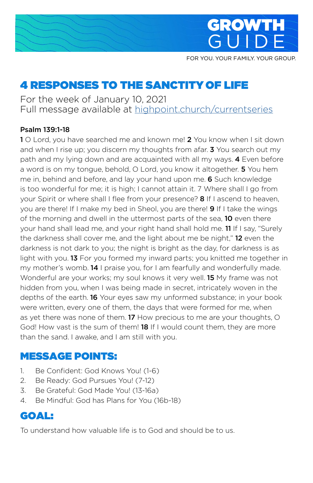



FOR YOU. YOUR FAMILY. YOUR GROUP.

# 4 RESPONSES TO THE SANCTITY OF LIFE

For the week of January 10, 2021 Full message available at [highpoint.church/currentseries](http://highpoint.church/currentseries)

#### Psalm 139:1-18

**1** O Lord, you have searched me and known me! 2 You know when I sit down and when I rise up; you discern my thoughts from afar. **3** You search out my path and my lying down and are acquainted with all my ways. 4 Even before a word is on my tongue, behold, O Lord, you know it altogether. 5 You hem me in, behind and before, and lay your hand upon me. 6 Such knowledge is too wonderful for me; it is high; I cannot attain it. 7 Where shall I go from your Spirit or where shall I flee from your presence? **8** If I ascend to heaven, you are there! If I make my bed in Sheol, you are there! 9 If I take the wings of the morning and dwell in the uttermost parts of the sea, **10** even there your hand shall lead me, and your right hand shall hold me. 11 If I say, "Surely the darkness shall cover me, and the light about me be night," 12 even the darkness is not dark to you; the night is bright as the day, for darkness is as light with you. **13** For you formed my inward parts; you knitted me together in my mother's womb. 14 I praise you, for I am fearfully and wonderfully made. Wonderful are your works; my soul knows it very well. **15** My frame was not hidden from you, when I was being made in secret, intricately woven in the depths of the earth. 16 Your eyes saw my unformed substance; in your book were written, every one of them, the days that were formed for me, when as yet there was none of them. 17 How precious to me are your thoughts, O God! How vast is the sum of them! **18** If I would count them, they are more than the sand. I awake, and I am still with you.

### MESSAGE POINTS:

- 1. Be Confident: God Knows You! (1-6)
- 2. Be Ready: God Pursues You! (7-12)
- 3. Be Grateful: God Made You! (13-16a)
- 4. Be Mindful: God has Plans for You (16b-18)

### GOAL:

To understand how valuable life is to God and should be to us.